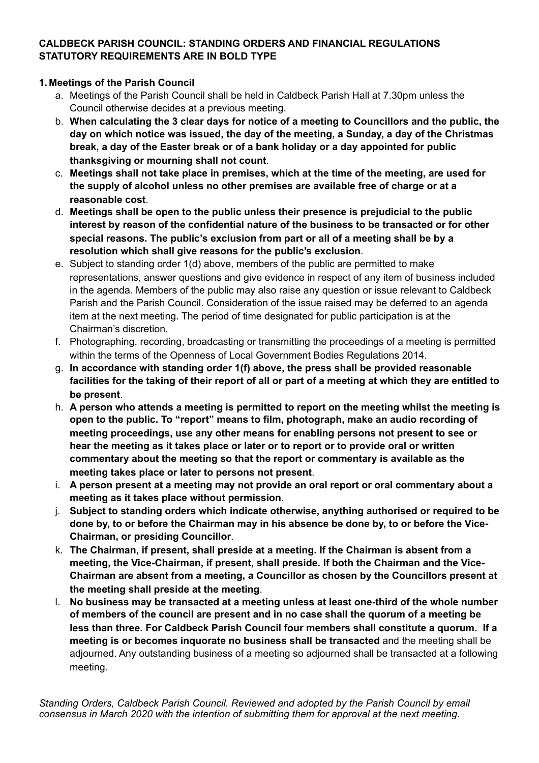### **CALDBECK PARISH COUNCIL: STANDING ORDERS AND FINANCIAL REGULATIONS STATUTORY REQUIREMENTS ARE IN BOLD TYPE**

#### **1. Meetings of the Parish Council**

- a. Meetings of the Parish Council shall be held in Caldbeck Parish Hall at 7.30pm unless the Council otherwise decides at a previous meeting.
- b. **When calculating the 3 clear days for notice of a meeting to Councillors and the public, the day on which notice was issued, the day of the meeting, a Sunday, a day of the Christmas break, a day of the Easter break or of a bank holiday or a day appointed for public thanksgiving or mourning shall not count**.
- c. **Meetings shall not take place in premises, which at the time of the meeting, are used for the supply of alcohol unless no other premises are available free of charge or at a reasonable cost**.
- d. **Meetings shall be open to the public unless their presence is prejudicial to the public interest by reason of the confidential nature of the business to be transacted or for other special reasons. The public's exclusion from part or all of a meeting shall be by a resolution which shall give reasons for the public's exclusion**.
- e. Subject to standing order 1(d) above, members of the public are permitted to make representations, answer questions and give evidence in respect of any item of business included in the agenda. Members of the public may also raise any question or issue relevant to Caldbeck Parish and the Parish Council. Consideration of the issue raised may be deferred to an agenda item at the next meeting. The period of time designated for public participation is at the Chairman's discretion.
- f. Photographing, recording, broadcasting or transmitting the proceedings of a meeting is permitted within the terms of the Openness of Local Government Bodies Regulations 2014.
- g. **In accordance with standing order 1(f) above, the press shall be provided reasonable facilities for the taking of their report of all or part of a meeting at which they are entitled to be present**.
- h. **A person who attends a meeting is permitted to report on the meeting whilst the meeting is open to the public. To "report" means to film, photograph, make an audio recording of meeting proceedings, use any other means for enabling persons not present to see or hear the meeting as it takes place or later or to report or to provide oral or written commentary about the meeting so that the report or commentary is available as the meeting takes place or later to persons not present**.
- i. **A person present at a meeting may not provide an oral report or oral commentary about a meeting as it takes place without permission**.
- j. **Subject to standing orders which indicate otherwise, anything authorised or required to be done by, to or before the Chairman may in his absence be done by, to or before the Vice-Chairman, or presiding Councillor**.
- k. **The Chairman, if present, shall preside at a meeting. If the Chairman is absent from a meeting, the Vice-Chairman, if present, shall preside. If both the Chairman and the Vice-Chairman are absent from a meeting, a Councillor as chosen by the Councillors present at the meeting shall preside at the meeting**.
- l. **No business may be transacted at a meeting unless at least one-third of the whole number of members of the council are present and in no case shall the quorum of a meeting be less than three. For Caldbeck Parish Council four members shall constitute a quorum. If a meeting is or becomes inquorate no business shall be transacted** and the meeting shall be adjourned. Any outstanding business of a meeting so adjourned shall be transacted at a following meeting.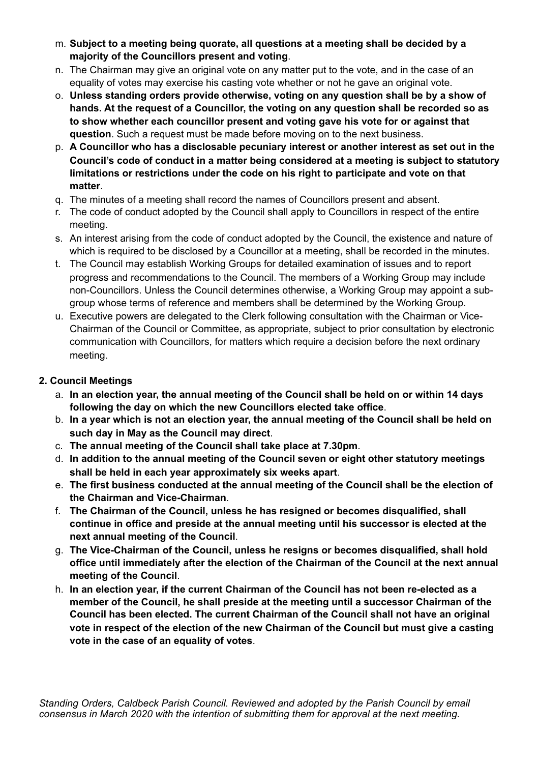- m. **Subject to a meeting being quorate, all questions at a meeting shall be decided by a majority of the Councillors present and voting**.
- n. The Chairman may give an original vote on any matter put to the vote, and in the case of an equality of votes may exercise his casting vote whether or not he gave an original vote.
- o. **Unless standing orders provide otherwise, voting on any question shall be by a show of hands. At the request of a Councillor, the voting on any question shall be recorded so as to show whether each councillor present and voting gave his vote for or against that question**. Such a request must be made before moving on to the next business.
- p. **A Councillor who has a disclosable pecuniary interest or another interest as set out in the Council's code of conduct in a matter being considered at a meeting is subject to statutory limitations or restrictions under the code on his right to participate and vote on that matter**.
- q. The minutes of a meeting shall record the names of Councillors present and absent.
- r. The code of conduct adopted by the Council shall apply to Councillors in respect of the entire meeting.
- s. An interest arising from the code of conduct adopted by the Council, the existence and nature of which is required to be disclosed by a Councillor at a meeting, shall be recorded in the minutes.
- t. The Council may establish Working Groups for detailed examination of issues and to report progress and recommendations to the Council. The members of a Working Group may include non-Councillors. Unless the Council determines otherwise, a Working Group may appoint a subgroup whose terms of reference and members shall be determined by the Working Group.
- u. Executive powers are delegated to the Clerk following consultation with the Chairman or Vice-Chairman of the Council or Committee, as appropriate, subject to prior consultation by electronic communication with Councillors, for matters which require a decision before the next ordinary meeting.

### **2. Council Meetings**

- a. **In an election year, the annual meeting of the Council shall be held on or within 14 days following the day on which the new Councillors elected take office**.
- b. **In a year which is not an election year, the annual meeting of the Council shall be held on such day in May as the Council may direct**.
- c. **The annual meeting of the Council shall take place at 7.30pm**.
- d. **In addition to the annual meeting of the Council seven or eight other statutory meetings shall be held in each year approximately six weeks apart**.
- e. **The first business conducted at the annual meeting of the Council shall be the election of the Chairman and Vice-Chairman**.
- f. **The Chairman of the Council, unless he has resigned or becomes disqualified, shall continue in office and preside at the annual meeting until his successor is elected at the next annual meeting of the Council**.
- g. **The Vice-Chairman of the Council, unless he resigns or becomes disqualified, shall hold office until immediately after the election of the Chairman of the Council at the next annual meeting of the Council**.
- h. **In an election year, if the current Chairman of the Council has not been re-elected as a member of the Council, he shall preside at the meeting until a successor Chairman of the Council has been elected. The current Chairman of the Council shall not have an original vote in respect of the election of the new Chairman of the Council but must give a casting vote in the case of an equality of votes**.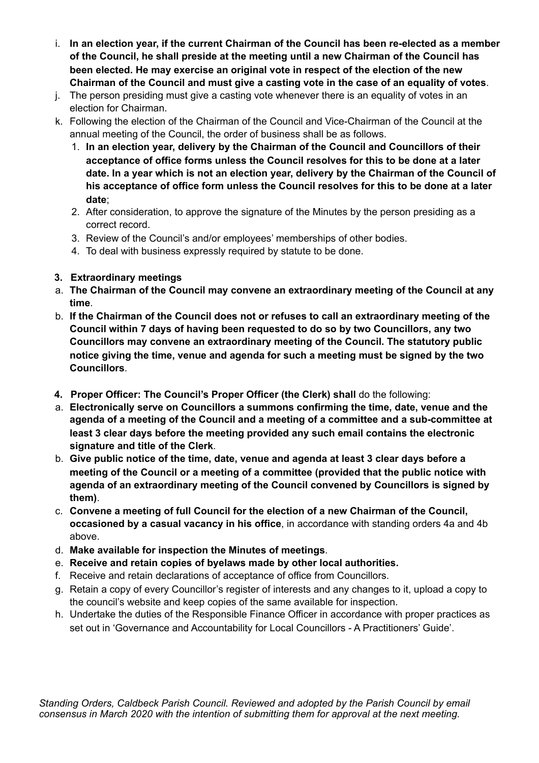- i. **In an election year, if the current Chairman of the Council has been re-elected as a member of the Council, he shall preside at the meeting until a new Chairman of the Council has been elected. He may exercise an original vote in respect of the election of the new Chairman of the Council and must give a casting vote in the case of an equality of votes**.
- j. The person presiding must give a casting vote whenever there is an equality of votes in an election for Chairman.
- k. Following the election of the Chairman of the Council and Vice-Chairman of the Council at the annual meeting of the Council, the order of business shall be as follows.
	- 1. **In an election year, delivery by the Chairman of the Council and Councillors of their acceptance of office forms unless the Council resolves for this to be done at a later date. In a year which is not an election year, delivery by the Chairman of the Council of his acceptance of office form unless the Council resolves for this to be done at a later date**;
	- 2. After consideration, to approve the signature of the Minutes by the person presiding as a correct record.
	- 3. Review of the Council's and/or employees' memberships of other bodies.
	- 4. To deal with business expressly required by statute to be done.

### **3. Extraordinary meetings**

- a. **The Chairman of the Council may convene an extraordinary meeting of the Council at any time**.
- b. **If the Chairman of the Council does not or refuses to call an extraordinary meeting of the Council within 7 days of having been requested to do so by two Councillors, any two Councillors may convene an extraordinary meeting of the Council. The statutory public notice giving the time, venue and agenda for such a meeting must be signed by the two Councillors**.
- **4. Proper Officer: The Council's Proper Officer (the Clerk) shall** do the following:
- a. **Electronically serve on Councillors a summons confirming the time, date, venue and the agenda of a meeting of the Council and a meeting of a committee and a sub-committee at least 3 clear days before the meeting provided any such email contains the electronic signature and title of the Clerk**.
- b. **Give public notice of the time, date, venue and agenda at least 3 clear days before a meeting of the Council or a meeting of a committee (provided that the public notice with agenda of an extraordinary meeting of the Council convened by Councillors is signed by them)**.
- c. **Convene a meeting of full Council for the election of a new Chairman of the Council, occasioned by a casual vacancy in his office**, in accordance with standing orders 4a and 4b above.
- d. **Make available for inspection the Minutes of meetings**.
- e. **Receive and retain copies of byelaws made by other local authorities.**
- f. Receive and retain declarations of acceptance of office from Councillors.
- g. Retain a copy of every Councillor's register of interests and any changes to it, upload a copy to the council's website and keep copies of the same available for inspection.
- h. Undertake the duties of the Responsible Finance Officer in accordance with proper practices as set out in 'Governance and Accountability for Local Councillors - A Practitioners' Guide'.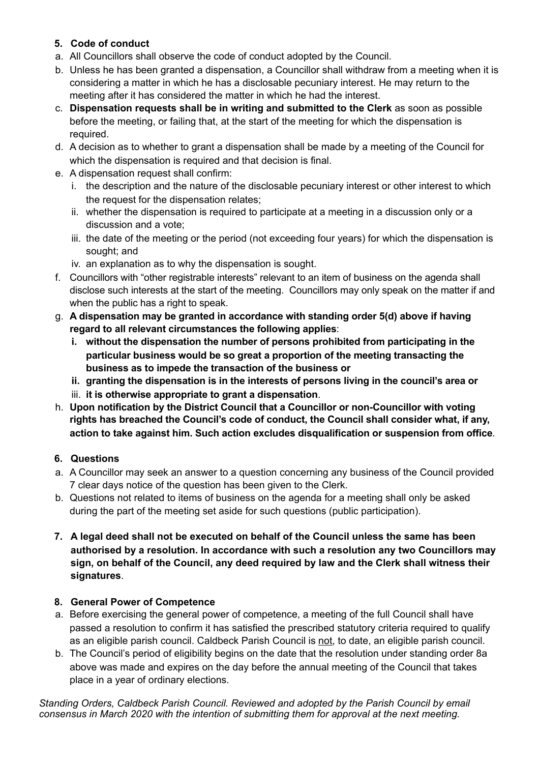### **5. Code of conduct**

- a. All Councillors shall observe the code of conduct adopted by the Council.
- b. Unless he has been granted a dispensation, a Councillor shall withdraw from a meeting when it is considering a matter in which he has a disclosable pecuniary interest. He may return to the meeting after it has considered the matter in which he had the interest.
- c. **Dispensation requests shall be in writing and submitted to the Clerk** as soon as possible before the meeting, or failing that, at the start of the meeting for which the dispensation is required.
- d. A decision as to whether to grant a dispensation shall be made by a meeting of the Council for which the dispensation is required and that decision is final.
- e. A dispensation request shall confirm:
	- i. the description and the nature of the disclosable pecuniary interest or other interest to which the request for the dispensation relates;
	- ii. whether the dispensation is required to participate at a meeting in a discussion only or a discussion and a vote;
	- iii. the date of the meeting or the period (not exceeding four years) for which the dispensation is sought; and
	- iv. an explanation as to why the dispensation is sought.
- f. Councillors with "other registrable interests" relevant to an item of business on the agenda shall disclose such interests at the start of the meeting. Councillors may only speak on the matter if and when the public has a right to speak.
- g. **A dispensation may be granted in accordance with standing order 5(d) above if having regard to all relevant circumstances the following applies**:
	- **i. without the dispensation the number of persons prohibited from participating in the particular business would be so great a proportion of the meeting transacting the business as to impede the transaction of the business or**
	- **ii. granting the dispensation is in the interests of persons living in the council's area or**
	- iii. **it is otherwise appropriate to grant a dispensation**.
- h. **Upon notification by the District Council that a Councillor or non-Councillor with voting rights has breached the Council's code of conduct, the Council shall consider what, if any, action to take against him. Such action excludes disqualification or suspension from office**.

# **6. Questions**

- a. A Councillor may seek an answer to a question concerning any business of the Council provided 7 clear days notice of the question has been given to the Clerk.
- b. Questions not related to items of business on the agenda for a meeting shall only be asked during the part of the meeting set aside for such questions (public participation).
- **7. A legal deed shall not be executed on behalf of the Council unless the same has been authorised by a resolution. In accordance with such a resolution any two Councillors may sign, on behalf of the Council, any deed required by law and the Clerk shall witness their signatures**.

#### **8. General Power of Competence**

- a. Before exercising the general power of competence, a meeting of the full Council shall have passed a resolution to confirm it has satisfied the prescribed statutory criteria required to qualify as an eligible parish council. Caldbeck Parish Council is not, to date, an eligible parish council.
- b. The Council's period of eligibility begins on the date that the resolution under standing order 8a above was made and expires on the day before the annual meeting of the Council that takes place in a year of ordinary elections.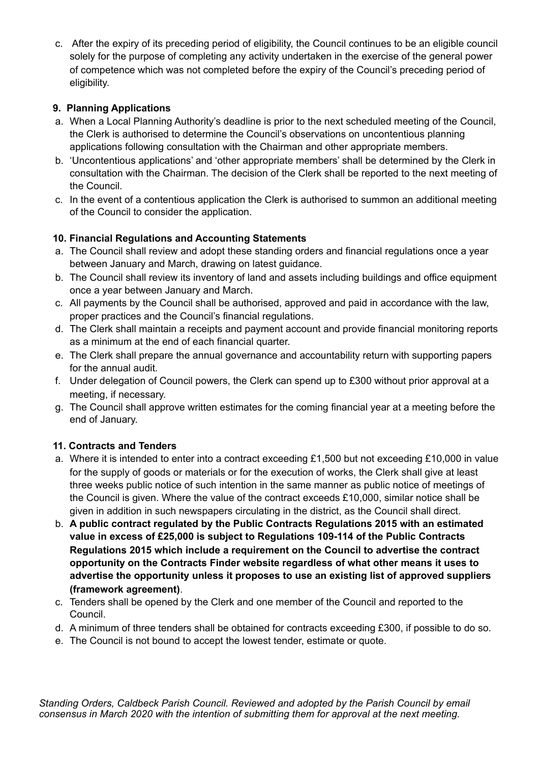c. After the expiry of its preceding period of eligibility, the Council continues to be an eligible council solely for the purpose of completing any activity undertaken in the exercise of the general power of competence which was not completed before the expiry of the Council's preceding period of eligibility.

# **9. Planning Applications**

- a. When a Local Planning Authority's deadline is prior to the next scheduled meeting of the Council, the Clerk is authorised to determine the Council's observations on uncontentious planning applications following consultation with the Chairman and other appropriate members.
- b. 'Uncontentious applications' and 'other appropriate members' shall be determined by the Clerk in consultation with the Chairman. The decision of the Clerk shall be reported to the next meeting of the Council.
- c. In the event of a contentious application the Clerk is authorised to summon an additional meeting of the Council to consider the application.

# **10. Financial Regulations and Accounting Statements**

- a. The Council shall review and adopt these standing orders and financial regulations once a year between January and March, drawing on latest guidance.
- b. The Council shall review its inventory of land and assets including buildings and office equipment once a year between January and March.
- c. All payments by the Council shall be authorised, approved and paid in accordance with the law, proper practices and the Council's financial regulations.
- d. The Clerk shall maintain a receipts and payment account and provide financial monitoring reports as a minimum at the end of each financial quarter.
- e. The Clerk shall prepare the annual governance and accountability return with supporting papers for the annual audit.
- f. Under delegation of Council powers, the Clerk can spend up to £300 without prior approval at a meeting, if necessary.
- g. The Council shall approve written estimates for the coming financial year at a meeting before the end of January.

# **11. Contracts and Tenders**

- a. Where it is intended to enter into a contract exceeding £1,500 but not exceeding £10,000 in value for the supply of goods or materials or for the execution of works, the Clerk shall give at least three weeks public notice of such intention in the same manner as public notice of meetings of the Council is given. Where the value of the contract exceeds £10,000, similar notice shall be given in addition in such newspapers circulating in the district, as the Council shall direct.
- b. **A public contract regulated by the Public Contracts Regulations 2015 with an estimated value in excess of £25,000 is subject to Regulations 109-114 of the Public Contracts Regulations 2015 which include a requirement on the Council to advertise the contract opportunity on the Contracts Finder website regardless of what other means it uses to advertise the opportunity unless it proposes to use an existing list of approved suppliers (framework agreement)**.
- c. Tenders shall be opened by the Clerk and one member of the Council and reported to the Council.
- d. A minimum of three tenders shall be obtained for contracts exceeding £300, if possible to do so.
- e. The Council is not bound to accept the lowest tender, estimate or quote.